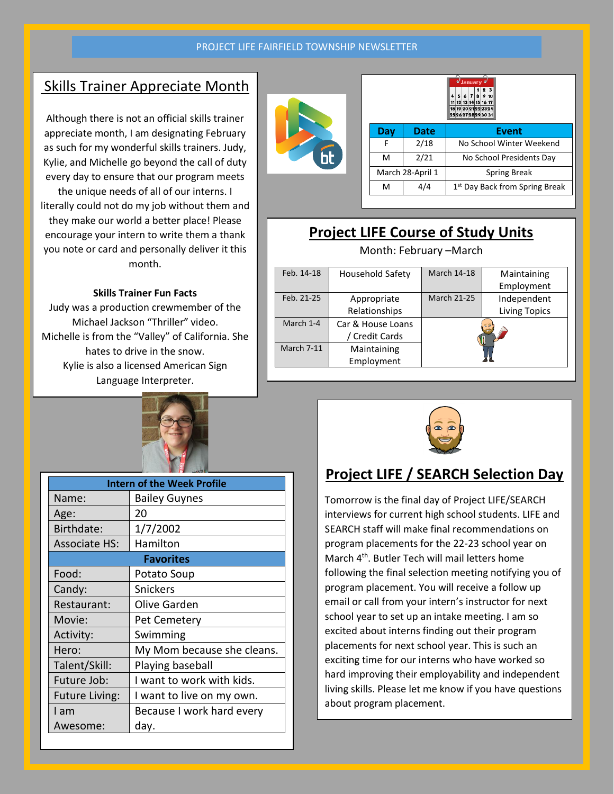#### PROJECT LIFE FAIRFIELD TOWNSHIP NEWSLETTER

### Skills Trainer Appreciate Month

Although there is not an official skills trainer appreciate month, I am designating February as such for my wonderful skills trainers. Judy, Kylie, and Michelle go beyond the call of duty every day to ensure that our program meets the unique needs of all of our interns. I literally could not do my job without them and they make our world a better place! Please encourage your intern to write them a thank you note or card and personally deliver it this month.

#### **Skills Trainer Fun Facts**

Judy was a production crewmember of the Michael Jackson "Thriller" video. Michelle is from the "Valley" of California. She hates to drive in the snow. Kylie is also a licensed American Sign Language Interpreter.



| <b>Intern of the Week Profile</b> |                            |  |  |  |
|-----------------------------------|----------------------------|--|--|--|
| Name:                             | <b>Bailey Guynes</b>       |  |  |  |
| Age:                              | 20                         |  |  |  |
| Birthdate:                        | 1/7/2002                   |  |  |  |
| <b>Associate HS:</b>              | Hamilton                   |  |  |  |
| <b>Favorites</b>                  |                            |  |  |  |
| Food:                             | Potato Soup                |  |  |  |
| Candy:                            | <b>Snickers</b>            |  |  |  |
| Restaurant:                       | Olive Garden               |  |  |  |
| Movie:                            | <b>Pet Cemetery</b>        |  |  |  |
| Activity:                         | Swimming                   |  |  |  |
| Hero:                             | My Mom because she cleans. |  |  |  |
| Talent/Skill:                     | Playing baseball           |  |  |  |
| Future Job:                       | I want to work with kids.  |  |  |  |
| <b>Future Living:</b>             | I want to live on my own.  |  |  |  |
| I am                              | Because I work hard every  |  |  |  |
| Awesome:                          | day.                       |  |  |  |



|  |     |                  | o⁄ January o⁄<br>23<br>6 7<br>$\mathbf{a}$<br>$\overline{4}$<br>5<br>9 <sub>10</sub><br>11 12 13 14 15 16 17 |
|--|-----|------------------|--------------------------------------------------------------------------------------------------------------|
|  |     |                  | 18 19 20 21 22 23 24<br>25262728293031                                                                       |
|  | Day | <b>Date</b>      | Event                                                                                                        |
|  | F   | 2/18             | No School Winter Weekend                                                                                     |
|  | м   | 2/21             | No School Presidents Day                                                                                     |
|  |     | March 28-April 1 | <b>Spring Break</b>                                                                                          |
|  | м   | 4/4              | 1 <sup>st</sup> Day Back from Spring Break                                                                   |
|  |     |                  |                                                                                                              |

## **Project LIFE Course of Study Units**

| Month: February -March |                         |                    |                      |  |  |
|------------------------|-------------------------|--------------------|----------------------|--|--|
| Feb. 14-18             | <b>Household Safety</b> | <b>March 14-18</b> | Maintaining          |  |  |
|                        |                         |                    | Employment           |  |  |
| Feb. 21-25             | Appropriate             | <b>March 21-25</b> | Independent          |  |  |
|                        | Relationships           |                    | <b>Living Topics</b> |  |  |
| March 1-4              | Car & House Loans       |                    | a a                  |  |  |
|                        | / Credit Cards          |                    |                      |  |  |
| March 7-11             | Maintaining             |                    |                      |  |  |
|                        | Employment              |                    |                      |  |  |



### **Project LIFE / SEARCH Selection Day**

Tomorrow is the final day of Project LIFE/SEARCH interviews for current high school students. LIFE and SEARCH staff will make final recommendations on program placements for the 22-23 school year on March 4th. Butler Tech will mail letters home following the final selection meeting notifying you of program placement. You will receive a follow up email or call from your intern's instructor for next school year to set up an intake meeting. I am so excited about interns finding out their program placements for next school year. This is such an exciting time for our interns who have worked so hard improving their employability and independent living skills. Please let me know if you have questions about program placement.